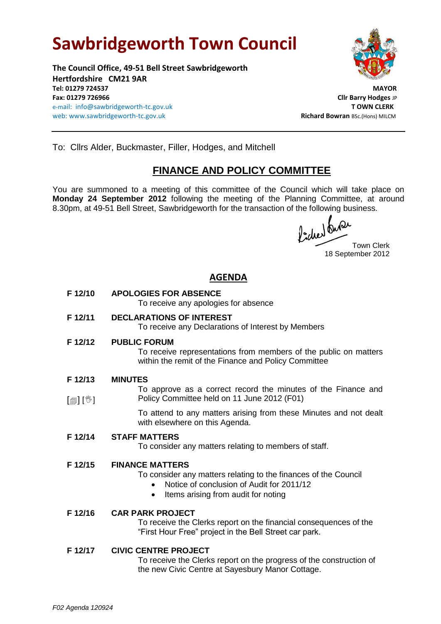# **Sawbridgeworth Town Council**

**The Council Office, 49-51 Bell Street Sawbridgeworth Hertfordshire CM21 9AR Tel: 01279 724537 MAYOR Fax: 01279 726966 Cllr Barry Hodges** JP e-mail: info@sawbridgeworth-tc.gov.uk **T OWN CLERK** web: www.sawbridgeworth-tc.gov.uk and a state of the state of the state Richard Bowran BSc.(Hons) MILCM



To: Cllrs Alder, Buckmaster, Filler, Hodges, and Mitchell

## **FINANCE AND POLICY COMMITTEE**

You are summoned to a meeting of this committee of the Council which will take place on **Monday 24 September 2012** following the meeting of the Planning Committee, at around 8.30pm, at 49-51 Bell Street, Sawbridgeworth for the transaction of the following business.

fiched onder

18 September 2012

### **AGENDA**

**F 12/10 APOLOGIES FOR ABSENCE**

To receive any apologies for absence

**F 12/11 DECLARATIONS OF INTEREST**

To receive any Declarations of Interest by Members

**F 12/12 PUBLIC FORUM**

To receive representations from members of the public on matters within the remit of the Finance and Policy Committee

- **F 12/13 MINUTES**
- [創] [V] To approve as a correct record the minutes of the Finance and Policy Committee held on 11 June 2012 (F01)

To attend to any matters arising from these Minutes and not dealt with elsewhere on this Agenda.

**F 12/14 STAFF MATTERS**

To consider any matters relating to members of staff.

#### **F 12/15 FINANCE MATTERS**

To consider any matters relating to the finances of the Council

- Notice of conclusion of Audit for 2011/12
- Items arising from audit for noting

#### **F 12/16 CAR PARK PROJECT**

To receive the Clerks report on the financial consequences of the "First Hour Free" project in the Bell Street car park.

#### **F 12/17 CIVIC CENTRE PROJECT**

To receive the Clerks report on the progress of the construction of the new Civic Centre at Sayesbury Manor Cottage.